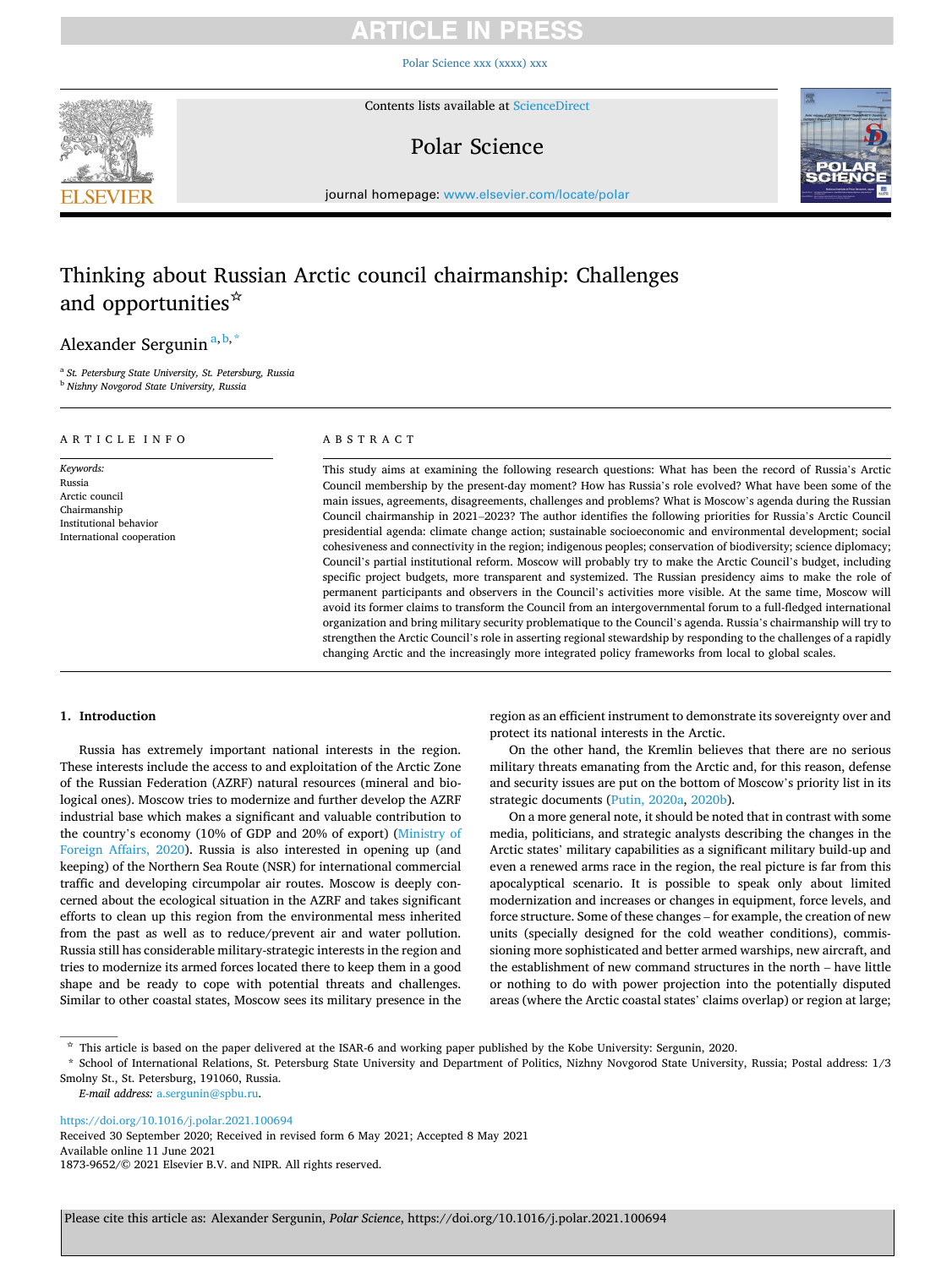# ICI E IN

[Polar Science xxx \(xxxx\) xxx](https://doi.org/10.1016/j.polar.2021.100694)



Contents lists available at [ScienceDirect](www.sciencedirect.com/science/journal/18739652)

# Polar Science



journal homepage: [www.elsevier.com/locate/polar](https://www.elsevier.com/locate/polar)

# Thinking about Russian Arctic council chairmanship: Challenges and opportunities☆

# Alexander Sergunin<sup>a, b,\*</sup>

<sup>a</sup> *St. Petersburg State University, St. Petersburg, Russia* <sup>b</sup> *Nizhny Novgorod State University, Russia* 

| ARTICLE INFO                                                                                                 | ABSTRACT                                                                                                                                                                                                                                                                                                                                                                                                                                                                                                                                                                                                                                                                                                                                                                                                                                                                                                                                                                                                                                                                                                                                                                                                                                                                                                                                                                                                   |
|--------------------------------------------------------------------------------------------------------------|------------------------------------------------------------------------------------------------------------------------------------------------------------------------------------------------------------------------------------------------------------------------------------------------------------------------------------------------------------------------------------------------------------------------------------------------------------------------------------------------------------------------------------------------------------------------------------------------------------------------------------------------------------------------------------------------------------------------------------------------------------------------------------------------------------------------------------------------------------------------------------------------------------------------------------------------------------------------------------------------------------------------------------------------------------------------------------------------------------------------------------------------------------------------------------------------------------------------------------------------------------------------------------------------------------------------------------------------------------------------------------------------------------|
| Keywords:<br>Russia<br>Arctic council<br>Chairmanship<br>Institutional behavior<br>International cooperation | This study aims at examining the following research questions: What has been the record of Russia's Arctic<br>Council membership by the present-day moment? How has Russia's role evolved? What have been some of the<br>main issues, agreements, disagreements, challenges and problems? What is Moscow's agenda during the Russian<br>Council chairmanship in 2021–2023? The author identifies the following priorities for Russia's Arctic Council<br>presidential agenda: climate change action; sustainable socioeconomic and environmental development; social<br>cohesiveness and connectivity in the region; indigenous peoples; conservation of biodiversity; science diplomacy;<br>Council's partial institutional reform. Moscow will probably try to make the Arctic Council's budget, including<br>specific project budgets, more transparent and systemized. The Russian presidency aims to make the role of<br>permanent participants and observers in the Council's activities more visible. At the same time, Moscow will<br>avoid its former claims to transform the Council from an intergovernmental forum to a full-fledged international<br>organization and bring military security problematique to the Council's agenda. Russia's chairmanship will try to<br>strengthen the Arctic Council's role in asserting regional stewardship by responding to the challenges of a rapidly |

### **1. Introduction**

Russia has extremely important national interests in the region. These interests include the access to and exploitation of the Arctic Zone of the Russian Federation (AZRF) natural resources (mineral and biological ones). Moscow tries to modernize and further develop the AZRF industrial base which makes a significant and valuable contribution to the country's economy (10% of GDP and 20% of export) [\(Ministry of](#page-7-0)  [Foreign Affairs, 2020\)](#page-7-0). Russia is also interested in opening up (and keeping) of the Northern Sea Route (NSR) for international commercial traffic and developing circumpolar air routes. Moscow is deeply concerned about the ecological situation in the AZRF and takes significant efforts to clean up this region from the environmental mess inherited from the past as well as to reduce/prevent air and water pollution. Russia still has considerable military-strategic interests in the region and tries to modernize its armed forces located there to keep them in a good shape and be ready to cope with potential threats and challenges. Similar to other coastal states, Moscow sees its military presence in the region as an efficient instrument to demonstrate its sovereignty over and protect its national interests in the Arctic.

changing Arctic and the increasingly more integrated policy frameworks from local to global scales.

On the other hand, the Kremlin believes that there are no serious military threats emanating from the Arctic and, for this reason, defense and security issues are put on the bottom of Moscow's priority list in its strategic documents ([Putin, 2020a,](#page-8-0) [2020b\)](#page-8-0).

On a more general note, it should be noted that in contrast with some media, politicians, and strategic analysts describing the changes in the Arctic states' military capabilities as a significant military build-up and even a renewed arms race in the region, the real picture is far from this apocalyptical scenario. It is possible to speak only about limited modernization and increases or changes in equipment, force levels, and force structure. Some of these changes – for example, the creation of new units (specially designed for the cold weather conditions), commissioning more sophisticated and better armed warships, new aircraft, and the establishment of new command structures in the north – have little or nothing to do with power projection into the potentially disputed areas (where the Arctic coastal states' claims overlap) or region at large;

*E-mail address:* [a.sergunin@spbu.ru.](mailto:a.sergunin@spbu.ru)

<https://doi.org/10.1016/j.polar.2021.100694>

Available online 11 June 2021 1873-9652/© 2021 Elsevier B.V. and NIPR. All rights reserved. Received 30 September 2020; Received in revised form 6 May 2021; Accepted 8 May 2021

<sup>☆</sup> This article is based on the paper delivered at the ISAR-6 and working paper published by the Kobe University: Sergunin, 2020.

<sup>\*</sup> School of International Relations, St. Petersburg State University and Department of Politics, Nizhny Novgorod State University, Russia; Postal address: 1/3 Smolny St., St. Petersburg, 191060, Russia.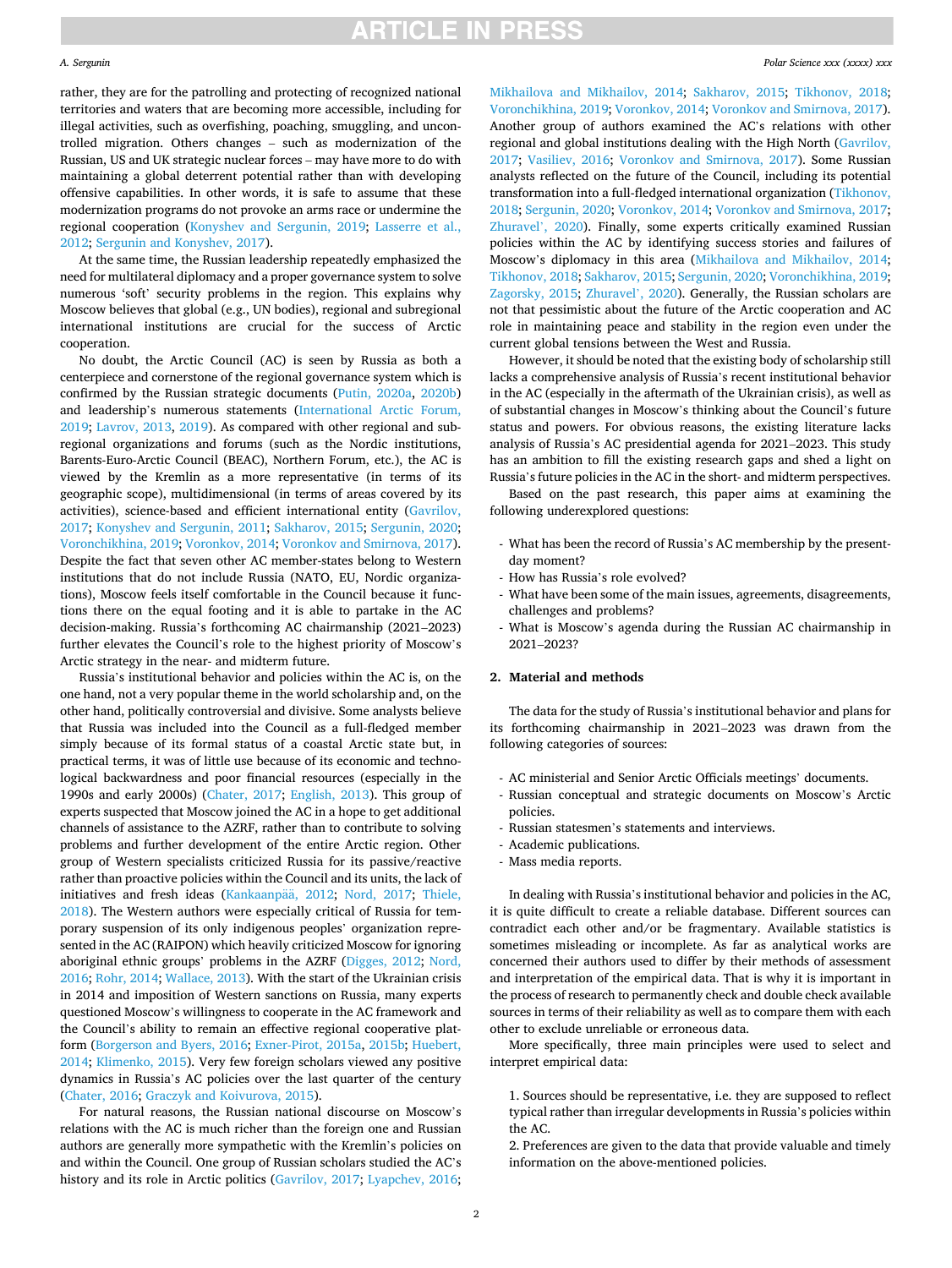#### *A. Sergunin*

rather, they are for the patrolling and protecting of recognized national territories and waters that are becoming more accessible, including for illegal activities, such as overfishing, poaching, smuggling, and uncontrolled migration. Others changes – such as modernization of the Russian, US and UK strategic nuclear forces – may have more to do with maintaining a global deterrent potential rather than with developing offensive capabilities. In other words, it is safe to assume that these modernization programs do not provoke an arms race or undermine the regional cooperation ([Konyshev and Sergunin, 2019;](#page-7-0) [Lasserre et al.,](#page-7-0)  [2012;](#page-7-0) [Sergunin and Konyshev, 2017\)](#page-8-0).

At the same time, the Russian leadership repeatedly emphasized the need for multilateral diplomacy and a proper governance system to solve numerous 'soft' security problems in the region. This explains why Moscow believes that global (e.g., UN bodies), regional and subregional international institutions are crucial for the success of Arctic cooperation.

No doubt, the Arctic Council (AC) is seen by Russia as both a centerpiece and cornerstone of the regional governance system which is confirmed by the Russian strategic documents [\(Putin, 2020a,](#page-8-0) [2020b\)](#page-8-0) and leadership's numerous statements [\(International Arctic Forum,](#page-7-0)  [2019; Lavrov, 2013](#page-7-0), [2019](#page-7-0)). As compared with other regional and subregional organizations and forums (such as the Nordic institutions, Barents-Euro-Arctic Council (BEAC), Northern Forum, etc.), the AC is viewed by the Kremlin as a more representative (in terms of its geographic scope), multidimensional (in terms of areas covered by its activities), science-based and efficient international entity [\(Gavrilov,](#page-7-0)  [2017; Konyshev and Sergunin, 2011;](#page-7-0) [Sakharov, 2015](#page-8-0); [Sergunin, 2020](#page-8-0); [Voronchikhina, 2019; Voronkov, 2014](#page-8-0); [Voronkov and Smirnova, 2017](#page-8-0)). Despite the fact that seven other AC member-states belong to Western institutions that do not include Russia (NATO, EU, Nordic organizations), Moscow feels itself comfortable in the Council because it functions there on the equal footing and it is able to partake in the AC decision-making. Russia's forthcoming AC chairmanship (2021–2023) further elevates the Council's role to the highest priority of Moscow's Arctic strategy in the near- and midterm future.

Russia's institutional behavior and policies within the AC is, on the one hand, not a very popular theme in the world scholarship and, on the other hand, politically controversial and divisive. Some analysts believe that Russia was included into the Council as a full-fledged member simply because of its formal status of a coastal Arctic state but, in practical terms, it was of little use because of its economic and technological backwardness and poor financial resources (especially in the 1990s and early 2000s) ([Chater, 2017](#page-7-0); [English, 2013](#page-7-0)). This group of experts suspected that Moscow joined the AC in a hope to get additional channels of assistance to the AZRF, rather than to contribute to solving problems and further development of the entire Arctic region. Other group of Western specialists criticized Russia for its passive/reactive rather than proactive policies within the Council and its units, the lack of initiatives and fresh ideas [\(Kankaanp](#page-7-0)ää, 2012; [Nord, 2017;](#page-8-0) Thiele, [2018\)](#page-8-0). The Western authors were especially critical of Russia for temporary suspension of its only indigenous peoples' organization represented in the AC (RAIPON) which heavily criticized Moscow for ignoring aboriginal ethnic groups' problems in the AZRF ([Digges, 2012](#page-7-0); [Nord,](#page-7-0)  [2016;](#page-7-0) [Rohr, 2014](#page-8-0); [Wallace, 2013\)](#page-8-0). With the start of the Ukrainian crisis in 2014 and imposition of Western sanctions on Russia, many experts questioned Moscow's willingness to cooperate in the AC framework and the Council's ability to remain an effective regional cooperative platform ([Borgerson and Byers, 2016](#page-7-0); [Exner-Pirot, 2015a](#page-7-0), [2015b](#page-7-0); [Huebert,](#page-7-0)  [2014; Klimenko, 2015\)](#page-7-0). Very few foreign scholars viewed any positive dynamics in Russia's AC policies over the last quarter of the century ([Chater, 2016; Graczyk and Koivurova, 2015](#page-7-0)).

For natural reasons, the Russian national discourse on Moscow's relations with the AC is much richer than the foreign one and Russian authors are generally more sympathetic with the Kremlin's policies on and within the Council. One group of Russian scholars studied the AC's history and its role in Arctic politics [\(Gavrilov, 2017](#page-7-0); [Lyapchev, 2016](#page-7-0);

[Mikhailova and Mikhailov, 2014;](#page-7-0) [Sakharov, 2015](#page-8-0); [Tikhonov, 2018](#page-8-0); [Voronchikhina, 2019; Voronkov, 2014](#page-8-0); [Voronkov and Smirnova, 2017](#page-8-0)). Another group of authors examined the AC's relations with other regional and global institutions dealing with the High North [\(Gavrilov,](#page-7-0)  [2017;](#page-7-0) [Vasiliev, 2016;](#page-8-0) [Voronkov and Smirnova, 2017](#page-8-0)). Some Russian analysts reflected on the future of the Council, including its potential transformation into a full-fledged international organization [\(Tikhonov,](#page-8-0)  [2018; Sergunin, 2020; Voronkov, 2014; Voronkov and Smirnova, 2017](#page-8-0); [Zhuravel](#page-8-0)', 2020). Finally, some experts critically examined Russian policies within the AC by identifying success stories and failures of Moscow's diplomacy in this area [\(Mikhailova and Mikhailov, 2014](#page-7-0); [Tikhonov, 2018; Sakharov, 2015](#page-8-0); [Sergunin, 2020; Voronchikhina, 2019](#page-8-0); [Zagorsky, 2015;](#page-8-0) [Zhuravel](#page-8-0)', 2020). Generally, the Russian scholars are not that pessimistic about the future of the Arctic cooperation and AC role in maintaining peace and stability in the region even under the current global tensions between the West and Russia.

However, it should be noted that the existing body of scholarship still lacks a comprehensive analysis of Russia's recent institutional behavior in the AC (especially in the aftermath of the Ukrainian crisis), as well as of substantial changes in Moscow's thinking about the Council's future status and powers. For obvious reasons, the existing literature lacks analysis of Russia's AC presidential agenda for 2021–2023. This study has an ambition to fill the existing research gaps and shed a light on Russia's future policies in the AC in the short- and midterm perspectives.

Based on the past research, this paper aims at examining the following underexplored questions:

- What has been the record of Russia's AC membership by the presentday moment?
- How has Russia's role evolved?
- What have been some of the main issues, agreements, disagreements, challenges and problems?
- What is Moscow's agenda during the Russian AC chairmanship in 2021–2023?

### **2. Material and methods**

The data for the study of Russia's institutional behavior and plans for its forthcoming chairmanship in 2021–2023 was drawn from the following categories of sources:

- AC ministerial and Senior Arctic Officials meetings' documents.
- Russian conceptual and strategic documents on Moscow's Arctic policies.
- Russian statesmen's statements and interviews.
- Academic publications.
- Mass media reports.

In dealing with Russia's institutional behavior and policies in the AC, it is quite difficult to create a reliable database. Different sources can contradict each other and/or be fragmentary. Available statistics is sometimes misleading or incomplete. As far as analytical works are concerned their authors used to differ by their methods of assessment and interpretation of the empirical data. That is why it is important in the process of research to permanently check and double check available sources in terms of their reliability as well as to compare them with each other to exclude unreliable or erroneous data.

More specifically, three main principles were used to select and interpret empirical data:

2. Preferences are given to the data that provide valuable and timely information on the above-mentioned policies.

<sup>1.</sup> Sources should be representative, i.e. they are supposed to reflect typical rather than irregular developments in Russia's policies within the AC.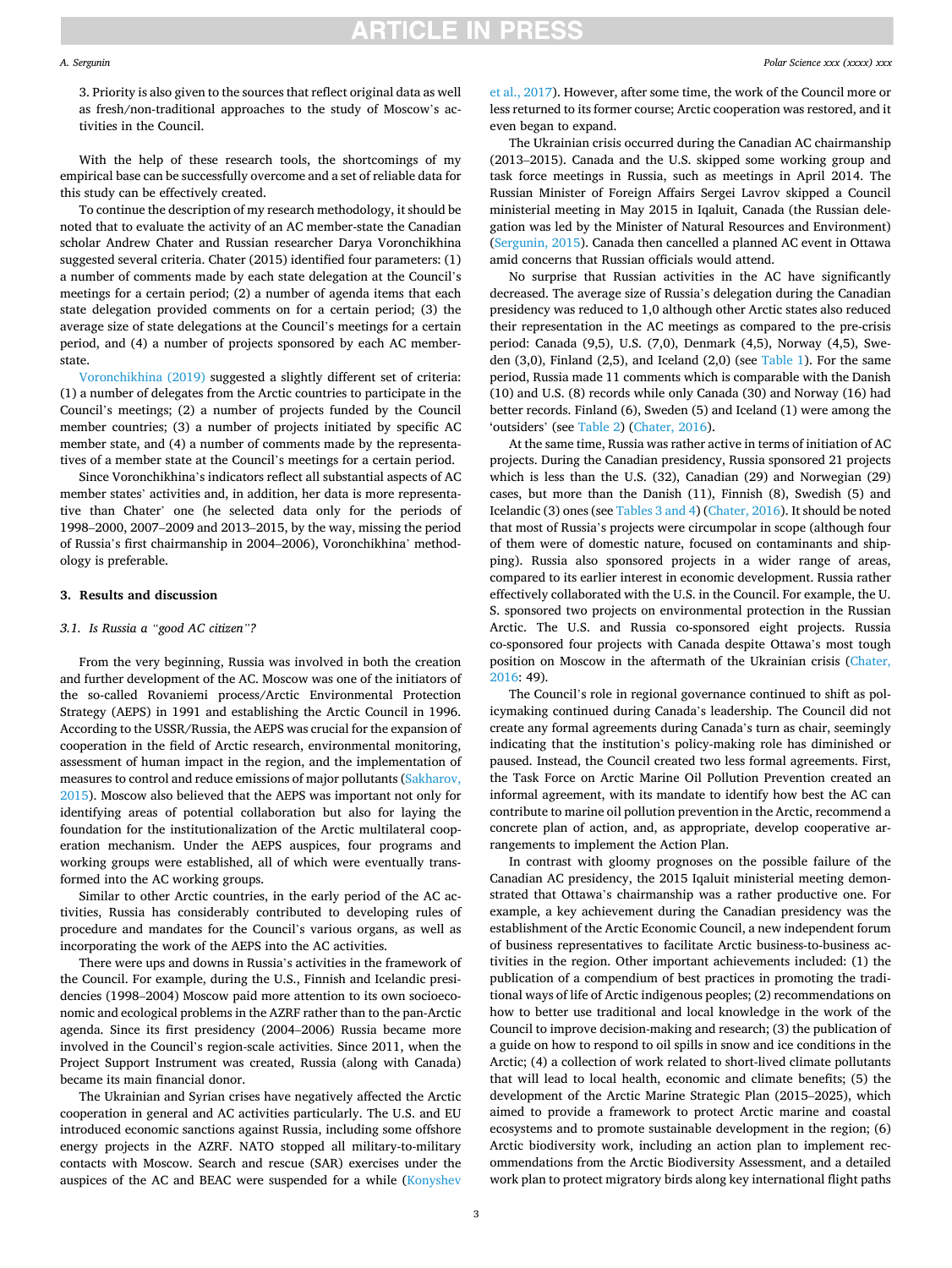#### *A. Sergunin*

3. Priority is also given to the sources that reflect original data as well as fresh/non-traditional approaches to the study of Moscow's activities in the Council.

With the help of these research tools, the shortcomings of my empirical base can be successfully overcome and a set of reliable data for this study can be effectively created.

To continue the description of my research methodology, it should be noted that to evaluate the activity of an AC member-state the Canadian scholar Andrew Chater and Russian researcher Darya Voronchikhina suggested several criteria. Chater (2015) identified four parameters: (1) a number of comments made by each state delegation at the Council's meetings for a certain period; (2) a number of agenda items that each state delegation provided comments on for a certain period; (3) the average size of state delegations at the Council's meetings for a certain period, and (4) a number of projects sponsored by each AC memberstate.

[Voronchikhina \(2019\)](#page-8-0) suggested a slightly different set of criteria: (1) a number of delegates from the Arctic countries to participate in the Council's meetings; (2) a number of projects funded by the Council member countries; (3) a number of projects initiated by specific AC member state, and (4) a number of comments made by the representatives of a member state at the Council's meetings for a certain period.

Since Voronchikhina's indicators reflect all substantial aspects of AC member states' activities and, in addition, her data is more representative than Chater' one (he selected data only for the periods of 1998–2000, 2007–2009 and 2013–2015, by the way, missing the period of Russia's first chairmanship in 2004–2006), Voronchikhina' methodology is preferable.

### **3. Results and discussion**

### *3.1. Is Russia a "good AC citizen"?*

From the very beginning, Russia was involved in both the creation and further development of the AC. Moscow was one of the initiators of the so-called Rovaniemi process/Arctic Environmental Protection Strategy (AEPS) in 1991 and establishing the Arctic Council in 1996. According to the USSR/Russia, the AEPS was crucial for the expansion of cooperation in the field of Arctic research, environmental monitoring, assessment of human impact in the region, and the implementation of measures to control and reduce emissions of major pollutants ([Sakharov,](#page-8-0)  [2015\)](#page-8-0). Moscow also believed that the AEPS was important not only for identifying areas of potential collaboration but also for laying the foundation for the institutionalization of the Arctic multilateral cooperation mechanism. Under the AEPS auspices, four programs and working groups were established, all of which were eventually transformed into the AC working groups.

Similar to other Arctic countries, in the early period of the AC activities, Russia has considerably contributed to developing rules of procedure and mandates for the Council's various organs, as well as incorporating the work of the AEPS into the AC activities.

There were ups and downs in Russia's activities in the framework of the Council. For example, during the U.S., Finnish and Icelandic presidencies (1998–2004) Moscow paid more attention to its own socioeconomic and ecological problems in the AZRF rather than to the pan-Arctic agenda. Since its first presidency (2004–2006) Russia became more involved in the Council's region-scale activities. Since 2011, when the Project Support Instrument was created, Russia (along with Canada) became its main financial donor.

The Ukrainian and Syrian crises have negatively affected the Arctic cooperation in general and AC activities particularly. The U.S. and EU introduced economic sanctions against Russia, including some offshore energy projects in the AZRF. NATO stopped all military-to-military contacts with Moscow. Search and rescue (SAR) exercises under the auspices of the AC and BEAC were suspended for a while ([Konyshev](#page-7-0) 

[et al., 2017\)](#page-7-0). However, after some time, the work of the Council more or less returned to its former course; Arctic cooperation was restored, and it even began to expand.

The Ukrainian crisis occurred during the Canadian AC chairmanship (2013–2015). Canada and the U.S. skipped some working group and task force meetings in Russia, such as meetings in April 2014. The Russian Minister of Foreign Affairs Sergei Lavrov skipped a Council ministerial meeting in May 2015 in Iqaluit, Canada (the Russian delegation was led by the Minister of Natural Resources and Environment) ([Sergunin, 2015](#page-8-0)). Canada then cancelled a planned AC event in Ottawa amid concerns that Russian officials would attend.

No surprise that Russian activities in the AC have significantly decreased. The average size of Russia's delegation during the Canadian presidency was reduced to 1,0 although other Arctic states also reduced their representation in the AC meetings as compared to the pre-crisis period: Canada (9,5), U.S. (7,0), Denmark (4,5), Norway (4,5), Sweden  $(3,0)$ , Finland  $(2,5)$ , and Iceland  $(2,0)$  (see [Table 1](#page-3-0)). For the same period, Russia made 11 comments which is comparable with the Danish (10) and U.S. (8) records while only Canada (30) and Norway (16) had better records. Finland (6), Sweden (5) and Iceland (1) were among the 'outsiders' (see [Table 2](#page-3-0)) ([Chater, 2016\)](#page-7-0).

At the same time, Russia was rather active in terms of initiation of AC projects. During the Canadian presidency, Russia sponsored 21 projects which is less than the U.S. (32), Canadian (29) and Norwegian (29) cases, but more than the Danish (11), Finnish (8), Swedish (5) and Icelandic (3) ones (see [Tables 3 and 4\)](#page-4-0) [\(Chater, 2016](#page-7-0)). It should be noted that most of Russia's projects were circumpolar in scope (although four of them were of domestic nature, focused on contaminants and shipping). Russia also sponsored projects in a wider range of areas, compared to its earlier interest in economic development. Russia rather effectively collaborated with the U.S. in the Council. For example, the U. S. sponsored two projects on environmental protection in the Russian Arctic. The U.S. and Russia co-sponsored eight projects. Russia co-sponsored four projects with Canada despite Ottawa's most tough position on Moscow in the aftermath of the Ukrainian crisis [\(Chater,](#page-7-0)  [2016:](#page-7-0) 49).

The Council's role in regional governance continued to shift as policymaking continued during Canada's leadership. The Council did not create any formal agreements during Canada's turn as chair, seemingly indicating that the institution's policy-making role has diminished or paused. Instead, the Council created two less formal agreements. First, the Task Force on Arctic Marine Oil Pollution Prevention created an informal agreement, with its mandate to identify how best the AC can contribute to marine oil pollution prevention in the Arctic, recommend a concrete plan of action, and, as appropriate, develop cooperative arrangements to implement the Action Plan.

In contrast with gloomy prognoses on the possible failure of the Canadian AC presidency, the 2015 Iqaluit ministerial meeting demonstrated that Ottawa's chairmanship was a rather productive one. For example, a key achievement during the Canadian presidency was the establishment of the Arctic Economic Council, a new independent forum of business representatives to facilitate Arctic business-to-business activities in the region. Other important achievements included: (1) the publication of a compendium of best practices in promoting the traditional ways of life of Arctic indigenous peoples; (2) recommendations on how to better use traditional and local knowledge in the work of the Council to improve decision-making and research; (3) the publication of a guide on how to respond to oil spills in snow and ice conditions in the Arctic; (4) a collection of work related to short-lived climate pollutants that will lead to local health, economic and climate benefits; (5) the development of the Arctic Marine Strategic Plan (2015–2025), which aimed to provide a framework to protect Arctic marine and coastal ecosystems and to promote sustainable development in the region; (6) Arctic biodiversity work, including an action plan to implement recommendations from the Arctic Biodiversity Assessment, and a detailed work plan to protect migratory birds along key international flight paths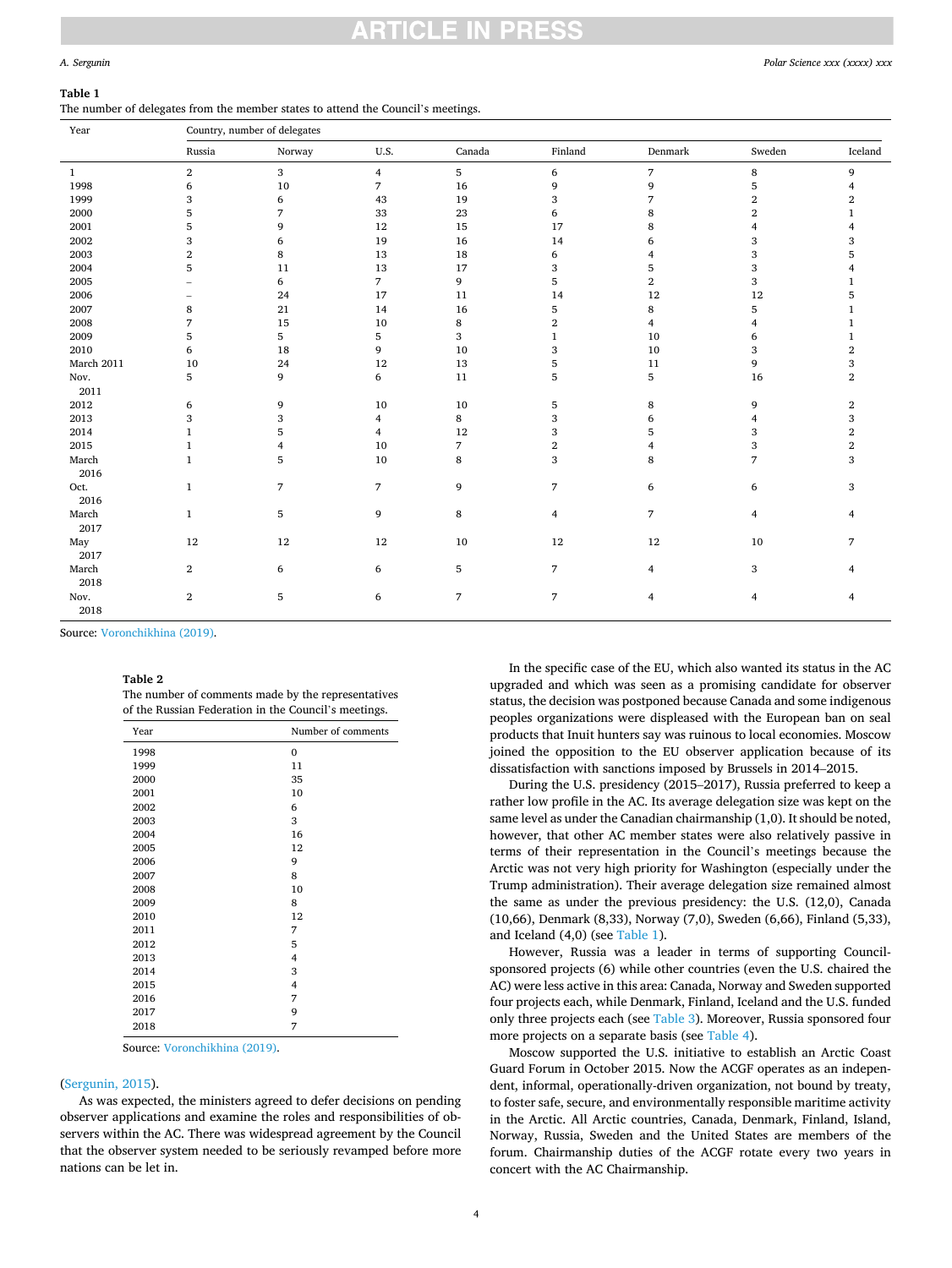### <span id="page-3-0"></span>**Table 1**

The number of delegates from the member states to attend the Council's meetings.

| Year          | Country, number of delegates |                |                |                |                          |                |                |                |
|---------------|------------------------------|----------------|----------------|----------------|--------------------------|----------------|----------------|----------------|
|               | Russia                       | Norway         | U.S.           | Canada         | Finland                  | Denmark        | Sweden         | Iceland        |
| $\mathbf{1}$  | $\overline{2}$               | 3              | $\overline{4}$ | 5              | 6                        | $\overline{7}$ | $\,8\,$        | 9              |
| 1998          | 6                            | 10             | 7              | 16             | 9                        | 9              | 5              | $\overline{4}$ |
| 1999          | 3                            | 6              | 43             | 19             | 3                        | 7              | $\mathbf{2}$   | $\overline{2}$ |
| 2000          | 5                            | 7              | 33             | 23             | 6                        | 8              | 2              | $\mathbf{1}$   |
| 2001          | 5                            | 9              | 12             | 15             | 17                       | 8              |                | 4              |
| 2002          | 3                            | 6              | 19             | 16             | 14                       | 6              | 3              | 3              |
| 2003          | $\overline{2}$               | 8              | 13             | 18             | 6                        | 4              | 3              | 5              |
| 2004          | 5                            | 11             | 13             | 17             | 3                        | 5              | 3              | 4              |
| 2005          |                              | 6              | $\overline{7}$ | 9              | 5                        | $\overline{2}$ | 3              | $\mathbf{1}$   |
| 2006          |                              | 24             | 17             | 11             | 14                       | 12             | 12             | 5              |
| 2007          | 8                            | 21             | 14             | 16             | 5                        | 8              | 5              | $\mathbf{1}$   |
| 2008          | 7                            | 15             | 10             | 8              | $\,2$                    | $\overline{4}$ | 4              | 1              |
| 2009          | 5                            | 5              | 5              | 3              | $\mathbf{1}$             | 10             | 6              | $\mathbf{1}$   |
| 2010          | 6                            | 18             | 9              | 10             | 3                        | 10             | 3              | $\,2\,$        |
| March 2011    | 10                           | 24             | 12             | 13             | 5                        | 11             | 9              | $\,$ 3 $\,$    |
| Nov.          | 5                            | 9              | 6              | 11             | 5                        | 5              | 16             | $\,2\,$        |
| 2011          |                              |                |                |                |                          |                |                |                |
| $2012\,$      | 6                            | 9              | 10             | 10             | 5                        | 8              | 9              | $\,2$          |
| 2013          | 3                            | 3              | 4              | $\bf8$         | 3                        | 6              | 4              | 3              |
| 2014          | $\mathbf{1}$                 | 5              | 4              | 12             | 3                        | 5              | 3              | $\,2\,$        |
| 2015          | $\mathbf{1}$                 | $\overline{4}$ | 10             | $\overline{7}$ | $\,2$                    | 4              | 3              | $\,2$          |
| March<br>2016 | $\mathbf{1}$                 | 5              | 10             | 8              | 3                        | 8              | 7              | 3              |
| Oct.          | $\mathbf{1}$                 | $\overline{7}$ | $\overline{7}$ | 9              | $\overline{\phantom{a}}$ | 6              | 6              | 3              |
| 2016          |                              |                |                |                |                          |                |                |                |
| March<br>2017 | $\mathbf{1}$                 | 5              | 9              | 8              | $\overline{4}$           | 7              | $\overline{4}$ | 4              |
| May           | 12                           | 12             | 12             | 10             | 12                       | 12             | 10             | $\overline{7}$ |
| 2017          |                              |                |                |                |                          |                |                |                |
| March<br>2018 | $\overline{2}$               | 6              | 6              | 5              | $\sqrt{2}$               | 4              | 3              | $\overline{4}$ |
| Nov.<br>2018  | $\overline{2}$               | 5              | 6              | $\overline{7}$ | $\overline{7}$           | 4              | 4              | $\overline{4}$ |

Source: [Voronchikhina \(2019\).](#page-8-0)

### **Table 2**

The number of comments made by the representatives of the Russian Federation in the Council's meetings.

| Year | Number of comments |
|------|--------------------|
| 1998 | $\mathbf{0}$       |
| 1999 | 11                 |
| 2000 | 35                 |
| 2001 | 10                 |
| 2002 | 6                  |
| 2003 | 3                  |
| 2004 | 16                 |
| 2005 | 12                 |
| 2006 | 9                  |
| 2007 | 8                  |
| 2008 | 10                 |
| 2009 | 8                  |
| 2010 | 12                 |
| 2011 | 7                  |
| 2012 | 5                  |
| 2013 | 4                  |
| 2014 | 3                  |
| 2015 | 4                  |
| 2016 | 7                  |
| 2017 | 9                  |
| 2018 | 7                  |

Source: [Voronchikhina \(2019\)](#page-8-0).

### ([Sergunin, 2015\)](#page-8-0).

As was expected, the ministers agreed to defer decisions on pending observer applications and examine the roles and responsibilities of observers within the AC. There was widespread agreement by the Council that the observer system needed to be seriously revamped before more nations can be let in.

In the specific case of the EU, which also wanted its status in the AC upgraded and which was seen as a promising candidate for observer status, the decision was postponed because Canada and some indigenous peoples organizations were displeased with the European ban on seal products that Inuit hunters say was ruinous to local economies. Moscow joined the opposition to the EU observer application because of its dissatisfaction with sanctions imposed by Brussels in 2014–2015.

During the U.S. presidency (2015–2017), Russia preferred to keep a rather low profile in the AC. Its average delegation size was kept on the same level as under the Canadian chairmanship (1,0). It should be noted, however, that other AC member states were also relatively passive in terms of their representation in the Council's meetings because the Arctic was not very high priority for Washington (especially under the Trump administration). Their average delegation size remained almost the same as under the previous presidency: the U.S. (12,0), Canada (10,66), Denmark (8,33), Norway (7,0), Sweden (6,66), Finland (5,33), and Iceland (4,0) (see Table 1).

However, Russia was a leader in terms of supporting Councilsponsored projects (6) while other countries (even the U.S. chaired the AC) were less active in this area: Canada, Norway and Sweden supported four projects each, while Denmark, Finland, Iceland and the U.S. funded only three projects each (see [Table 3](#page-4-0)). Moreover, Russia sponsored four more projects on a separate basis (see [Table 4](#page-4-0)).

Moscow supported the U.S. initiative to establish an Arctic Coast Guard Forum in October 2015. Now the ACGF operates as an independent, informal, operationally-driven organization, not bound by treaty, to foster safe, secure, and environmentally responsible maritime activity in the Arctic. All Arctic countries, Canada, Denmark, Finland, Island, Norway, Russia, Sweden and the United States are members of the forum. Chairmanship duties of the ACGF rotate every two years in concert with the AC Chairmanship.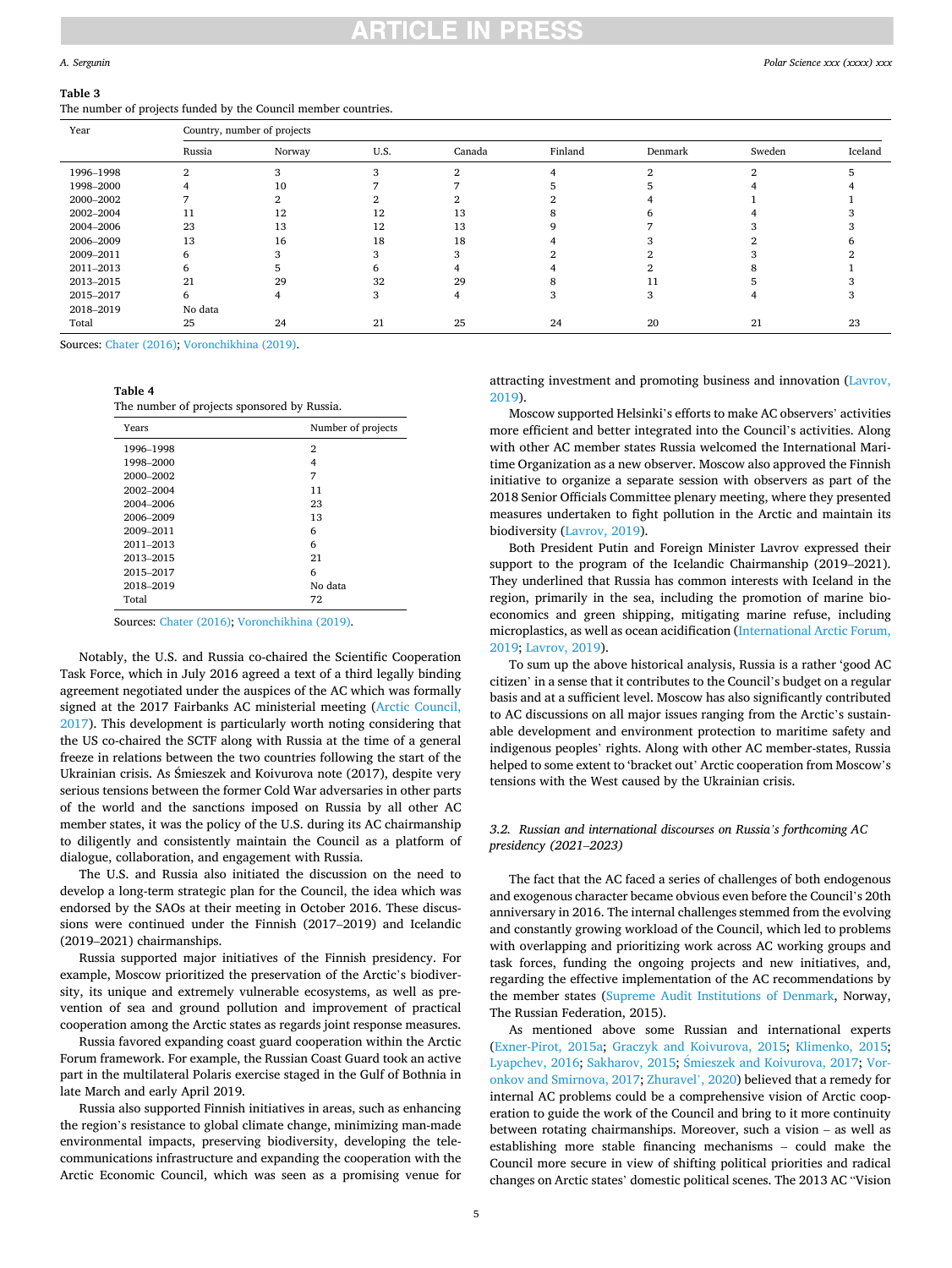# NCI E IN PRE

### <span id="page-4-0"></span>*A. Sergunin*

## **Table 3**

The number of projects funded by the Council member countries.

| Year      | Country, number of projects |        |          |        |         |         |        |         |
|-----------|-----------------------------|--------|----------|--------|---------|---------|--------|---------|
|           | Russia                      | Norway | U.S.     | Canada | Finland | Denmark | Sweden | Iceland |
| 1996-1998 |                             |        | $\Omega$ |        |         |         |        |         |
| 1998-2000 |                             | 10     |          |        |         |         |        |         |
| 2000-2002 |                             |        |          |        |         |         |        |         |
| 2002-2004 |                             | 12     | 12       | 13     |         |         |        |         |
| 2004-2006 | 23                          | 13     | 12       | 13     |         |         |        |         |
| 2006-2009 | 13                          | 16     | 18       | 18     |         |         |        |         |
| 2009-2011 |                             |        |          |        |         |         |        |         |
| 2011-2013 |                             |        |          |        |         |         |        |         |
| 2013-2015 | 21                          | 29     | 32       | 29     |         |         |        |         |
| 2015-2017 |                             |        |          |        |         |         |        |         |
| 2018-2019 | No data                     |        |          |        |         |         |        |         |
| Total     | 25                          | 24     | 21       | 25     | 24      | 20      | 21     | 23      |

Sources: [Chater \(2016\);](#page-7-0) [Voronchikhina \(2019\)](#page-8-0).

**Table 4** 

The number of projects sponsored by Russia.

| Years     | Number of projects |
|-----------|--------------------|
| 1996-1998 | 2                  |
| 1998-2000 | 4                  |
| 2000-2002 | 7                  |
| 2002-2004 | 11                 |
| 2004-2006 | 23                 |
| 2006-2009 | 13                 |
| 2009-2011 | 6                  |
| 2011-2013 | 6                  |
| 2013-2015 | 21                 |
| 2015-2017 | 6                  |
| 2018-2019 | No data            |
| Total     | 72                 |

Sources: [Chater \(2016\);](#page-7-0) [Voronchikhina \(2019\)](#page-8-0).

Notably, the U.S. and Russia co-chaired the Scientific Cooperation Task Force, which in July 2016 agreed a text of a third legally binding agreement negotiated under the auspices of the AC which was formally signed at the 2017 Fairbanks AC ministerial meeting [\(Arctic Council,](#page-7-0)  [2017\)](#page-7-0). This development is particularly worth noting considering that the US co-chaired the SCTF along with Russia at the time of a general freeze in relations between the two countries following the start of the Ukrainian crisis. As Śmieszek and Koivurova note (2017), despite very serious tensions between the former Cold War adversaries in other parts of the world and the sanctions imposed on Russia by all other AC member states, it was the policy of the U.S. during its AC chairmanship to diligently and consistently maintain the Council as a platform of dialogue, collaboration, and engagement with Russia.

The U.S. and Russia also initiated the discussion on the need to develop a long-term strategic plan for the Council, the idea which was endorsed by the SAOs at their meeting in October 2016. These discussions were continued under the Finnish (2017–2019) and Icelandic (2019–2021) chairmanships.

Russia supported major initiatives of the Finnish presidency. For example, Moscow prioritized the preservation of the Arctic's biodiversity, its unique and extremely vulnerable ecosystems, as well as prevention of sea and ground pollution and improvement of practical cooperation among the Arctic states as regards joint response measures.

Russia favored expanding coast guard cooperation within the Arctic Forum framework. For example, the Russian Coast Guard took an active part in the multilateral Polaris exercise staged in the Gulf of Bothnia in late March and early April 2019.

Russia also supported Finnish initiatives in areas, such as enhancing the region's resistance to global climate change, minimizing man-made environmental impacts, preserving biodiversity, developing the telecommunications infrastructure and expanding the cooperation with the Arctic Economic Council, which was seen as a promising venue for

attracting investment and promoting business and innovation [\(Lavrov,](#page-7-0)  [2019\)](#page-7-0).

Moscow supported Helsinki's efforts to make AC observers' activities more efficient and better integrated into the Council's activities. Along with other AC member states Russia welcomed the International Maritime Organization as a new observer. Moscow also approved the Finnish initiative to organize a separate session with observers as part of the 2018 Senior Officials Committee plenary meeting, where they presented measures undertaken to fight pollution in the Arctic and maintain its biodiversity ([Lavrov, 2019\)](#page-7-0).

Both President Putin and Foreign Minister Lavrov expressed their support to the program of the Icelandic Chairmanship (2019–2021). They underlined that Russia has common interests with Iceland in the region, primarily in the sea, including the promotion of marine bioeconomics and green shipping, mitigating marine refuse, including microplastics, as well as ocean acidification [\(International Arctic Forum,](#page-7-0)  [2019; Lavrov, 2019\)](#page-7-0).

To sum up the above historical analysis, Russia is a rather 'good AC citizen' in a sense that it contributes to the Council's budget on a regular basis and at a sufficient level. Moscow has also significantly contributed to AC discussions on all major issues ranging from the Arctic's sustainable development and environment protection to maritime safety and indigenous peoples' rights. Along with other AC member-states, Russia helped to some extent to 'bracket out' Arctic cooperation from Moscow's tensions with the West caused by the Ukrainian crisis.

### *3.2. Russian and international discourses on Russia's forthcoming AC presidency (2021*–*2023)*

The fact that the AC faced a series of challenges of both endogenous and exogenous character became obvious even before the Council's 20th anniversary in 2016. The internal challenges stemmed from the evolving and constantly growing workload of the Council, which led to problems with overlapping and prioritizing work across AC working groups and task forces, funding the ongoing projects and new initiatives, and, regarding the effective implementation of the AC recommendations by the member states [\(Supreme Audit Institutions of Denmark](#page-8-0), Norway, The Russian Federation, 2015).

As mentioned above some Russian and international experts ([Exner-Pirot, 2015a](#page-7-0); [Graczyk and Koivurova, 2015](#page-7-0); [Klimenko, 2015](#page-7-0); [Lyapchev, 2016;](#page-7-0) [Sakharov, 2015](#page-8-0); Smieszek [and Koivurova, 2017; Vor](#page-8-0)[onkov and Smirnova, 2017; Zhuravel](#page-8-0)', 2020) believed that a remedy for internal AC problems could be a comprehensive vision of Arctic cooperation to guide the work of the Council and bring to it more continuity between rotating chairmanships. Moreover, such a vision – as well as establishing more stable financing mechanisms – could make the Council more secure in view of shifting political priorities and radical changes on Arctic states' domestic political scenes. The 2013 AC "Vision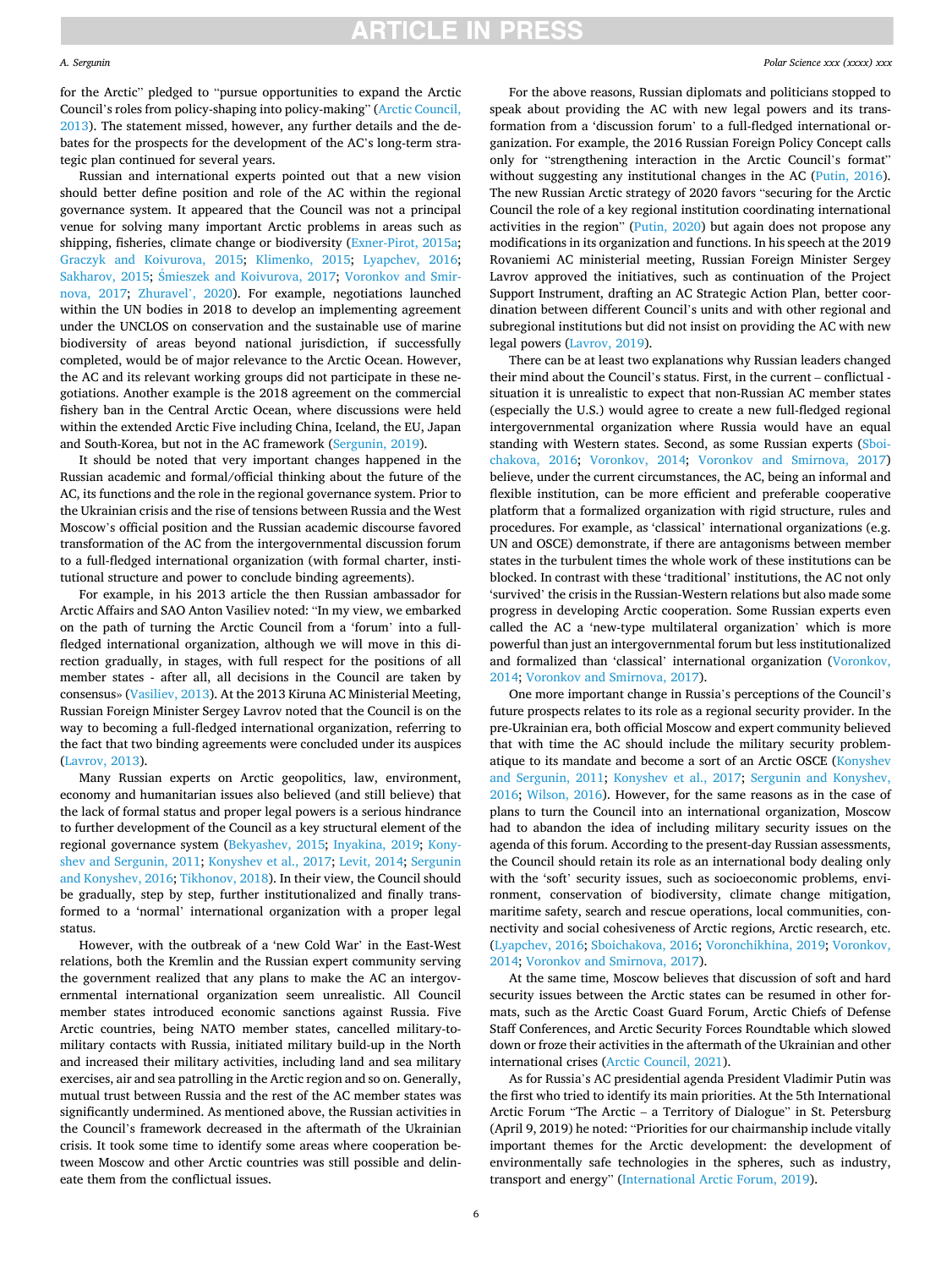#### *A. Sergunin*

for the Arctic" pledged to "pursue opportunities to expand the Arctic Council's roles from policy-shaping into policy-making" ([Arctic Council,](#page-7-0)  [2013\)](#page-7-0). The statement missed, however, any further details and the debates for the prospects for the development of the AC's long-term strategic plan continued for several years.

Russian and international experts pointed out that a new vision should better define position and role of the AC within the regional governance system. It appeared that the Council was not a principal venue for solving many important Arctic problems in areas such as shipping, fisheries, climate change or biodiversity ([Exner-Pirot, 2015a](#page-7-0); [Graczyk and Koivurova, 2015](#page-7-0); [Klimenko, 2015;](#page-7-0) [Lyapchev, 2016](#page-7-0); [Sakharov, 2015;](#page-8-0) Śmieszek [and Koivurova, 2017](#page-8-0); [Voronkov and Smir](#page-8-0)[nova, 2017;](#page-8-0) [Zhuravel](#page-8-0)', 2020). For example, negotiations launched within the UN bodies in 2018 to develop an implementing agreement under the UNCLOS on conservation and the sustainable use of marine biodiversity of areas beyond national jurisdiction, if successfully completed, would be of major relevance to the Arctic Ocean. However, the AC and its relevant working groups did not participate in these negotiations. Another example is the 2018 agreement on the commercial fishery ban in the Central Arctic Ocean, where discussions were held within the extended Arctic Five including China, Iceland, the EU, Japan and South-Korea, but not in the AC framework ([Sergunin, 2019](#page-8-0)).

It should be noted that very important changes happened in the Russian academic and formal/official thinking about the future of the AC, its functions and the role in the regional governance system. Prior to the Ukrainian crisis and the rise of tensions between Russia and the West Moscow's official position and the Russian academic discourse favored transformation of the AC from the intergovernmental discussion forum to a full-fledged international organization (with formal charter, institutional structure and power to conclude binding agreements).

For example, in his 2013 article the then Russian ambassador for Arctic Affairs and SAO Anton Vasiliev noted: "In my view, we embarked on the path of turning the Arctic Council from a 'forum' into a fullfledged international organization, although we will move in this direction gradually, in stages, with full respect for the positions of all member states - after all, all decisions in the Council are taken by consensus» [\(Vasiliev, 2013](#page-8-0)). At the 2013 Kiruna AC Ministerial Meeting, Russian Foreign Minister Sergey Lavrov noted that the Council is on the way to becoming a full-fledged international organization, referring to the fact that two binding agreements were concluded under its auspices ([Lavrov, 2013](#page-7-0)).

Many Russian experts on Arctic geopolitics, law, environment, economy and humanitarian issues also believed (and still believe) that the lack of formal status and proper legal powers is a serious hindrance to further development of the Council as a key structural element of the regional governance system [\(Bekyashev, 2015](#page-7-0); [Inyakina, 2019;](#page-7-0) [Kony](#page-7-0)[shev and Sergunin, 2011; Konyshev et al., 2017; Levit, 2014;](#page-7-0) [Sergunin](#page-8-0)  [and Konyshev, 2016; Tikhonov, 2018](#page-8-0)). In their view, the Council should be gradually, step by step, further institutionalized and finally transformed to a 'normal' international organization with a proper legal status.

However, with the outbreak of a 'new Cold War' in the East-West relations, both the Kremlin and the Russian expert community serving the government realized that any plans to make the AC an intergovernmental international organization seem unrealistic. All Council member states introduced economic sanctions against Russia. Five Arctic countries, being NATO member states, cancelled military-tomilitary contacts with Russia, initiated military build-up in the North and increased their military activities, including land and sea military exercises, air and sea patrolling in the Arctic region and so on. Generally, mutual trust between Russia and the rest of the AC member states was significantly undermined. As mentioned above, the Russian activities in the Council's framework decreased in the aftermath of the Ukrainian crisis. It took some time to identify some areas where cooperation between Moscow and other Arctic countries was still possible and delineate them from the conflictual issues.

For the above reasons, Russian diplomats and politicians stopped to speak about providing the AC with new legal powers and its transformation from a 'discussion forum' to a full-fledged international organization. For example, the 2016 Russian Foreign Policy Concept calls only for "strengthening interaction in the Arctic Council's format" without suggesting any institutional changes in the AC [\(Putin, 2016](#page-8-0)). The new Russian Arctic strategy of 2020 favors "securing for the Arctic Council the role of a key regional institution coordinating international activities in the region" ([Putin, 2020\)](#page-8-0) but again does not propose any modifications in its organization and functions. In his speech at the 2019 Rovaniemi AC ministerial meeting, Russian Foreign Minister Sergey Lavrov approved the initiatives, such as continuation of the Project Support Instrument, drafting an AC Strategic Action Plan, better coordination between different Council's units and with other regional and subregional institutions but did not insist on providing the AC with new legal powers [\(Lavrov, 2019](#page-7-0)).

There can be at least two explanations why Russian leaders changed their mind about the Council's status. First, in the current – conflictual situation it is unrealistic to expect that non-Russian AC member states (especially the U.S.) would agree to create a new full-fledged regional intergovernmental organization where Russia would have an equal standing with Western states. Second, as some Russian experts ([Sboi](#page-8-0)[chakova, 2016](#page-8-0); [Voronkov, 2014](#page-8-0); [Voronkov and Smirnova, 2017\)](#page-8-0) believe, under the current circumstances, the AC, being an informal and flexible institution, can be more efficient and preferable cooperative platform that a formalized organization with rigid structure, rules and procedures. For example, as 'classical' international organizations (e.g. UN and OSCE) demonstrate, if there are antagonisms between member states in the turbulent times the whole work of these institutions can be blocked. In contrast with these 'traditional' institutions, the AC not only 'survived' the crisis in the Russian-Western relations but also made some progress in developing Arctic cooperation. Some Russian experts even called the AC a 'new-type multilateral organization' which is more powerful than just an intergovernmental forum but less institutionalized and formalized than 'classical' international organization ([Voronkov,](#page-8-0)  [2014; Voronkov and Smirnova, 2017\)](#page-8-0).

One more important change in Russia's perceptions of the Council's future prospects relates to its role as a regional security provider. In the pre-Ukrainian era, both official Moscow and expert community believed that with time the AC should include the military security problematique to its mandate and become a sort of an Arctic OSCE ([Konyshev](#page-7-0)  [and Sergunin, 2011](#page-7-0); [Konyshev et al., 2017](#page-7-0); [Sergunin and Konyshev,](#page-8-0)  [2016;](#page-8-0) [Wilson, 2016\)](#page-8-0). However, for the same reasons as in the case of plans to turn the Council into an international organization, Moscow had to abandon the idea of including military security issues on the agenda of this forum. According to the present-day Russian assessments, the Council should retain its role as an international body dealing only with the 'soft' security issues, such as socioeconomic problems, environment, conservation of biodiversity, climate change mitigation, maritime safety, search and rescue operations, local communities, connectivity and social cohesiveness of Arctic regions, Arctic research, etc. ([Lyapchev, 2016](#page-7-0); [Sboichakova, 2016](#page-8-0); [Voronchikhina, 2019](#page-8-0); [Voronkov,](#page-8-0)  [2014; Voronkov and Smirnova, 2017\)](#page-8-0).

At the same time, Moscow believes that discussion of soft and hard security issues between the Arctic states can be resumed in other formats, such as the Arctic Coast Guard Forum, Arctic Chiefs of Defense Staff Conferences, and Arctic Security Forces Roundtable which slowed down or froze their activities in the aftermath of the Ukrainian and other international crises ([Arctic Council, 2021](#page-7-0)).

As for Russia's AC presidential agenda President Vladimir Putin was the first who tried to identify its main priorities. At the 5th International Arctic Forum "The Arctic – a Territory of Dialogue" in St. Petersburg (April 9, 2019) he noted: "Priorities for our chairmanship include vitally important themes for the Arctic development: the development of environmentally safe technologies in the spheres, such as industry, transport and energy" [\(International Arctic Forum, 2019\)](#page-7-0).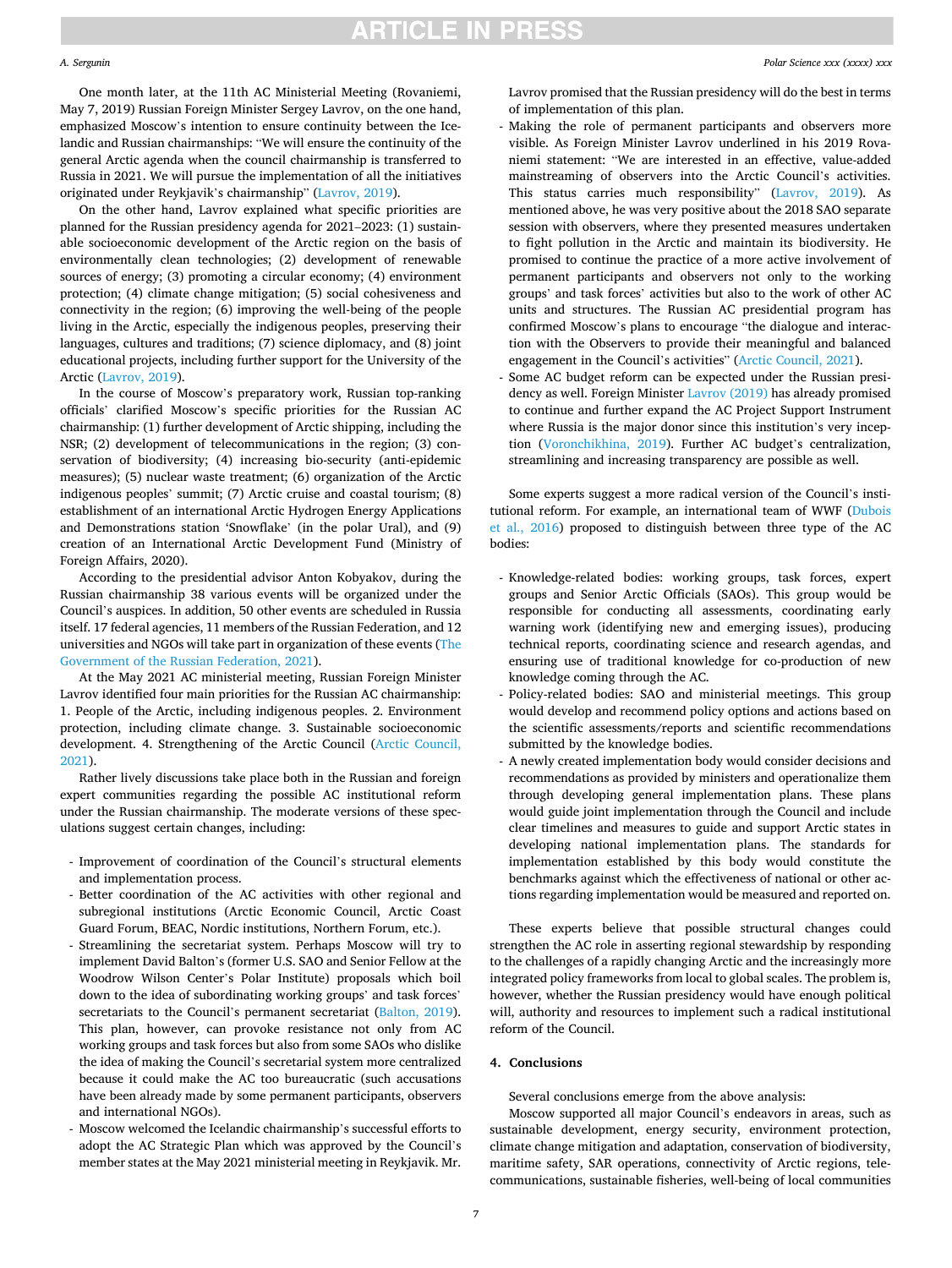### *A. Sergunin*

One month later, at the 11th AC Ministerial Meeting (Rovaniemi, May 7, 2019) Russian Foreign Minister Sergey Lavrov, on the one hand, emphasized Moscow's intention to ensure continuity between the Icelandic and Russian chairmanships: "We will ensure the continuity of the general Arctic agenda when the council chairmanship is transferred to Russia in 2021. We will pursue the implementation of all the initiatives originated under Reykjavik's chairmanship" ([Lavrov, 2019\)](#page-7-0).

On the other hand, Lavrov explained what specific priorities are planned for the Russian presidency agenda for 2021–2023: (1) sustainable socioeconomic development of the Arctic region on the basis of environmentally clean technologies; (2) development of renewable sources of energy; (3) promoting a circular economy; (4) environment protection; (4) climate change mitigation; (5) social cohesiveness and connectivity in the region; (6) improving the well-being of the people living in the Arctic, especially the indigenous peoples, preserving their languages, cultures and traditions; (7) science diplomacy, and (8) joint educational projects, including further support for the University of the Arctic [\(Lavrov, 2019\)](#page-7-0).

In the course of Moscow's preparatory work, Russian top-ranking officials' clarified Moscow's specific priorities for the Russian AC chairmanship: (1) further development of Arctic shipping, including the NSR; (2) development of telecommunications in the region; (3) conservation of biodiversity; (4) increasing bio-security (anti-epidemic measures); (5) nuclear waste treatment; (6) organization of the Arctic indigenous peoples' summit; (7) Arctic cruise and coastal tourism; (8) establishment of an international Arctic Hydrogen Energy Applications and Demonstrations station 'Snowflake' (in the polar Ural), and (9) creation of an International Arctic Development Fund (Ministry of Foreign Affairs, 2020).

According to the presidential advisor Anton Kobyakov, during the Russian chairmanship 38 various events will be organized under the Council's auspices. In addition, 50 other events are scheduled in Russia itself. 17 federal agencies, 11 members of the Russian Federation, and 12 universities and NGOs will take part in organization of these events [\(The](#page-7-0)  [Government of the Russian Federation, 2021](#page-7-0)).

At the May 2021 AC ministerial meeting, Russian Foreign Minister Lavrov identified four main priorities for the Russian AC chairmanship: 1. People of the Arctic, including indigenous peoples. 2. Environment protection, including climate change. 3. Sustainable socioeconomic development. 4. Strengthening of the Arctic Council [\(Arctic Council,](#page-7-0)  [2021\)](#page-7-0).

Rather lively discussions take place both in the Russian and foreign expert communities regarding the possible AC institutional reform under the Russian chairmanship. The moderate versions of these speculations suggest certain changes, including:

- Improvement of coordination of the Council's structural elements and implementation process.
- Better coordination of the AC activities with other regional and subregional institutions (Arctic Economic Council, Arctic Coast Guard Forum, BEAC, Nordic institutions, Northern Forum, etc.).
- Streamlining the secretariat system. Perhaps Moscow will try to implement David Balton's (former U.S. SAO and Senior Fellow at the Woodrow Wilson Center's Polar Institute) proposals which boil down to the idea of subordinating working groups' and task forces' secretariats to the Council's permanent secretariat [\(Balton, 2019](#page-7-0)). This plan, however, can provoke resistance not only from AC working groups and task forces but also from some SAOs who dislike the idea of making the Council's secretarial system more centralized because it could make the AC too bureaucratic (such accusations have been already made by some permanent participants, observers and international NGOs).
- Moscow welcomed the Icelandic chairmanship's successful efforts to adopt the AC Strategic Plan which was approved by the Council's member states at the May 2021 ministerial meeting in Reykjavik. Mr.

Lavrov promised that the Russian presidency will do the best in terms of implementation of this plan.

- Making the role of permanent participants and observers more visible. As Foreign Minister Lavrov underlined in his 2019 Rovaniemi statement: "We are interested in an effective, value-added mainstreaming of observers into the Arctic Council's activities. This status carries much responsibility" ([Lavrov, 2019\)](#page-7-0). As mentioned above, he was very positive about the 2018 SAO separate session with observers, where they presented measures undertaken to fight pollution in the Arctic and maintain its biodiversity. He promised to continue the practice of a more active involvement of permanent participants and observers not only to the working groups' and task forces' activities but also to the work of other AC units and structures. The Russian AC presidential program has confirmed Moscow's plans to encourage "the dialogue and interaction with the Observers to provide their meaningful and balanced engagement in the Council's activities" [\(Arctic Council, 2021](#page-7-0)).
- Some AC budget reform can be expected under the Russian presidency as well. Foreign Minister [Lavrov \(2019\)](#page-7-0) has already promised to continue and further expand the AC Project Support Instrument where Russia is the major donor since this institution's very inception [\(Voronchikhina, 2019\)](#page-8-0). Further AC budget's centralization, streamlining and increasing transparency are possible as well.

Some experts suggest a more radical version of the Council's institutional reform. For example, an international team of WWF [\(Dubois](#page-7-0)  [et al., 2016\)](#page-7-0) proposed to distinguish between three type of the AC bodies:

- Knowledge-related bodies: working groups, task forces, expert groups and Senior Arctic Officials (SAOs). This group would be responsible for conducting all assessments, coordinating early warning work (identifying new and emerging issues), producing technical reports, coordinating science and research agendas, and ensuring use of traditional knowledge for co-production of new knowledge coming through the AC.
- Policy-related bodies: SAO and ministerial meetings. This group would develop and recommend policy options and actions based on the scientific assessments/reports and scientific recommendations submitted by the knowledge bodies.
- A newly created implementation body would consider decisions and recommendations as provided by ministers and operationalize them through developing general implementation plans. These plans would guide joint implementation through the Council and include clear timelines and measures to guide and support Arctic states in developing national implementation plans. The standards for implementation established by this body would constitute the benchmarks against which the effectiveness of national or other actions regarding implementation would be measured and reported on.

These experts believe that possible structural changes could strengthen the AC role in asserting regional stewardship by responding to the challenges of a rapidly changing Arctic and the increasingly more integrated policy frameworks from local to global scales. The problem is, however, whether the Russian presidency would have enough political will, authority and resources to implement such a radical institutional reform of the Council.

### **4. Conclusions**

Several conclusions emerge from the above analysis:

Moscow supported all major Council's endeavors in areas, such as sustainable development, energy security, environment protection, climate change mitigation and adaptation, conservation of biodiversity, maritime safety, SAR operations, connectivity of Arctic regions, telecommunications, sustainable fisheries, well-being of local communities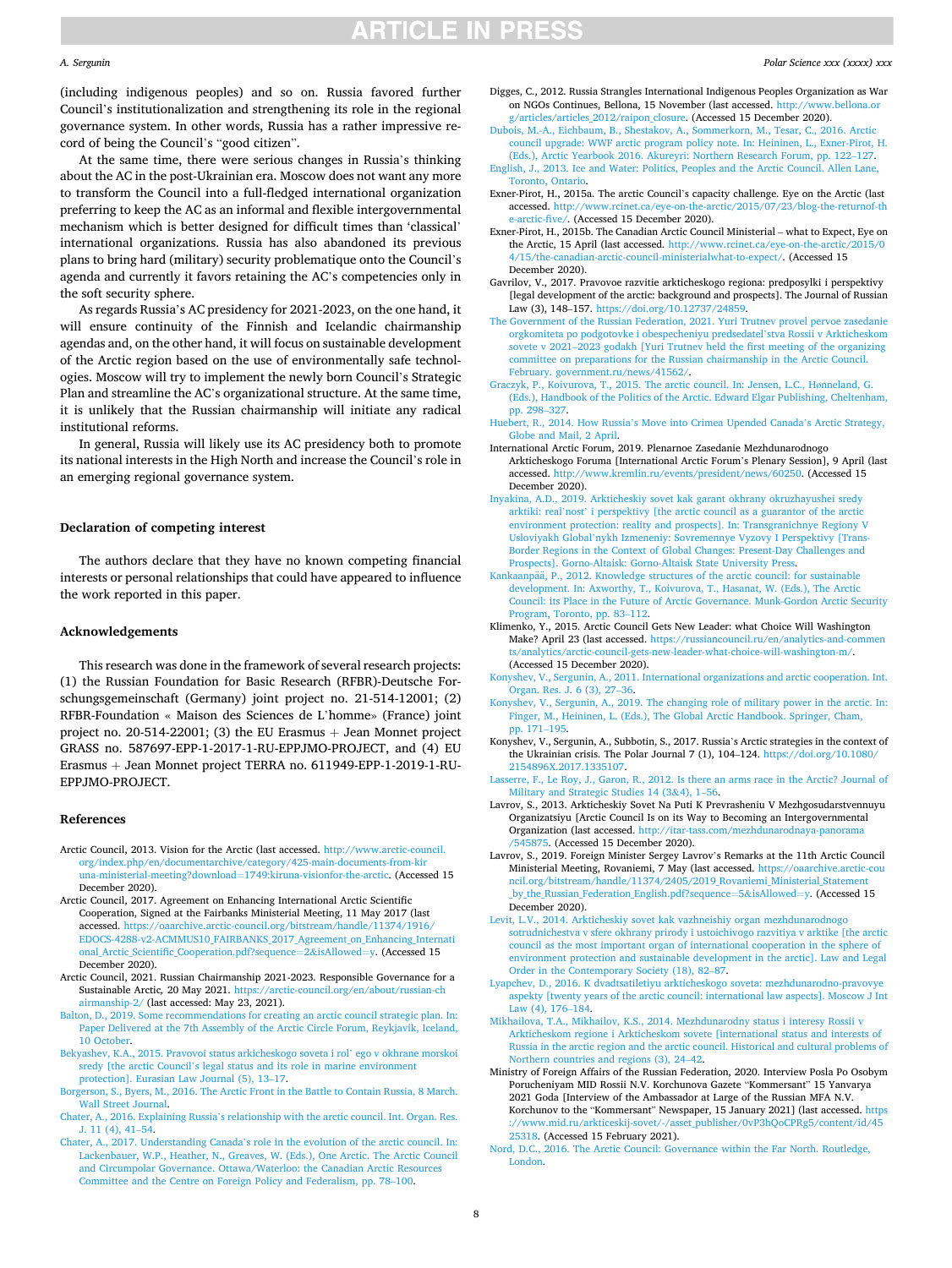#### <span id="page-7-0"></span>*A. Sergunin*

(including indigenous peoples) and so on. Russia favored further Council's institutionalization and strengthening its role in the regional governance system. In other words, Russia has a rather impressive record of being the Council's "good citizen".

At the same time, there were serious changes in Russia's thinking about the AC in the post-Ukrainian era. Moscow does not want any more to transform the Council into a full-fledged international organization preferring to keep the AC as an informal and flexible intergovernmental mechanism which is better designed for difficult times than 'classical' international organizations. Russia has also abandoned its previous plans to bring hard (military) security problematique onto the Council's agenda and currently it favors retaining the AC's competencies only in the soft security sphere.

As regards Russia's AC presidency for 2021-2023, on the one hand, it will ensure continuity of the Finnish and Icelandic chairmanship agendas and, on the other hand, it will focus on sustainable development of the Arctic region based on the use of environmentally safe technologies. Moscow will try to implement the newly born Council's Strategic Plan and streamline the AC's organizational structure. At the same time, it is unlikely that the Russian chairmanship will initiate any radical institutional reforms.

In general, Russia will likely use its AC presidency both to promote its national interests in the High North and increase the Council's role in an emerging regional governance system.

# **Declaration of competing interest**

The authors declare that they have no known competing financial interests or personal relationships that could have appeared to influence the work reported in this paper.

### **Acknowledgements**

This research was done in the framework of several research projects: (1) the Russian Foundation for Basic Research (RFBR)-Deutsche Forschungsgemeinschaft (Germany) joint project no. 21-514-12001; (2) RFBR-Foundation « Maison des Sciences de L'homme» (France) joint project no. 20-514-22001; (3) the EU Erasmus  $+$  Jean Monnet project GRASS no. 587697-EPP-1-2017-1-RU-EPPJMO-PROJECT, and (4) EU Erasmus + Jean Monnet project TERRA no. 611949-EPP-1-2019-1-RU-EPPJMO-PROJECT.

#### **References**

- Arctic Council, 2013. Vision for the Arctic (last accessed. [http://www.arctic-council.](http://www.arctic-council.org/index.php/en/documentarchive/category/425-main-documents-from-kiruna-ministerial-meeting?download=1749:kiruna-visionfor-the-arctic) [org/index.php/en/documentarchive/category/425-main-documents-from-kir](http://www.arctic-council.org/index.php/en/documentarchive/category/425-main-documents-from-kiruna-ministerial-meeting?download=1749:kiruna-visionfor-the-arctic) [una-ministerial-meeting?download](http://www.arctic-council.org/index.php/en/documentarchive/category/425-main-documents-from-kiruna-ministerial-meeting?download=1749:kiruna-visionfor-the-arctic)=1749:kiruna-visionfor-the-arctic. (Accessed 15 December 2020).
- Arctic Council, 2017. Agreement on Enhancing International Arctic Scientific Cooperation, Signed at the Fairbanks Ministerial Meeting, 11 May 2017 (last accessed. [https://oaarchive.arctic-council.org/bitstream/handle/11374/1916/](https://oaarchive.arctic-council.org/bitstream/handle/11374/1916/EDOCS-4288-v2-ACMMUS10_FAIRBANKS_2017_Agreement_on_Enhancing_International_Arctic_Scientific_Cooperation.pdf?sequence=2&isAllowed=y) EDOCS-4288-v2-ACMMUS10\_FAIRBANKS\_2017\_Agreement\_on\_Enhancing\_Internati [onal\\_Arctic\\_Scientific\\_Cooperation.pdf?sequence](https://oaarchive.arctic-council.org/bitstream/handle/11374/1916/EDOCS-4288-v2-ACMMUS10_FAIRBANKS_2017_Agreement_on_Enhancing_International_Arctic_Scientific_Cooperation.pdf?sequence=2&isAllowed=y)=2&isAllowed=y. (Accessed 15 December 2020).
- Arctic Council, 2021. Russian Chairmanship 2021-2023*.* Responsible Governance for a Sustainable Arctic*,* 20 May 2021. [https://arctic-council.org/en/about/russian-ch](https://arctic-council.org/en/about/russian-chairmanship-2/)  [airmanship-2/](https://arctic-council.org/en/about/russian-chairmanship-2/) (last accessed: May 23, 2021).
- [Balton, D., 2019. Some recommendations for creating an arctic council strategic plan. In:](http://refhub.elsevier.com/S1873-9652(21)00071-2/sref3)  [Paper Delivered at the 7th Assembly of the Arctic Circle Forum, Reykjavik, Iceland,](http://refhub.elsevier.com/S1873-9652(21)00071-2/sref3)  [10 October](http://refhub.elsevier.com/S1873-9652(21)00071-2/sref3).
- [Bekyashev, K.A., 2015. Pravovoi status arkicheskogo soveta i rol](http://refhub.elsevier.com/S1873-9652(21)00071-2/sref4)' ego v okhrane morskoi sredy [the arctic Council'[s legal status and its role in marine environment](http://refhub.elsevier.com/S1873-9652(21)00071-2/sref4)  [protection\]. Eurasian Law Journal \(5\), 13](http://refhub.elsevier.com/S1873-9652(21)00071-2/sref4)–17.
- [Borgerson, S., Byers, M., 2016. The Arctic Front in the Battle to Contain Russia, 8 March.](http://refhub.elsevier.com/S1873-9652(21)00071-2/sref5)  [Wall Street Journal.](http://refhub.elsevier.com/S1873-9652(21)00071-2/sref5)
- Chater, A., 2016. Explaining Russia'[s relationship with the arctic council. Int. Organ. Res.](http://refhub.elsevier.com/S1873-9652(21)00071-2/sref6)  [J. 11 \(4\), 41](http://refhub.elsevier.com/S1873-9652(21)00071-2/sref6)–54.
- Chater, A., 2017. Understanding Canada'[s role in the evolution of the arctic council. In:](http://refhub.elsevier.com/S1873-9652(21)00071-2/sref7)  [Lackenbauer, W.P., Heather, N., Greaves, W. \(Eds.\), One Arctic. The Arctic Council](http://refhub.elsevier.com/S1873-9652(21)00071-2/sref7)  [and Circumpolar Governance. Ottawa/Waterloo: the Canadian Arctic Resources](http://refhub.elsevier.com/S1873-9652(21)00071-2/sref7)  [Committee and the Centre on Foreign Policy and Federalism, pp. 78](http://refhub.elsevier.com/S1873-9652(21)00071-2/sref7)–100.
- Digges, C., 2012. Russia Strangles International Indigenous Peoples Organization as War on NGOs Continues, Bellona, 15 November (last accessed. http:// [g/articles/articles\\_2012/raipon\\_closure](http://www.bellona.org/articles/articles_2012/raipon_closure). (Accessed 15 December 2020).
- [Dubois, M.-A., Eichbaum, B., Shestakov, A., Sommerkorn, M., Tesar, C., 2016. Arctic](http://refhub.elsevier.com/S1873-9652(21)00071-2/sref9)  [council upgrade: WWF arctic program policy note. In: Heininen, L., Exner-Pirot, H.](http://refhub.elsevier.com/S1873-9652(21)00071-2/sref9)  [\(Eds.\), Arctic Yearbook 2016. Akureyri: Northern Research Forum, pp. 122](http://refhub.elsevier.com/S1873-9652(21)00071-2/sref9)–127.
- [English, J., 2013. Ice and Water: Politics, Peoples and the Arctic Council. Allen Lane,](http://refhub.elsevier.com/S1873-9652(21)00071-2/sref10) [Toronto, Ontario.](http://refhub.elsevier.com/S1873-9652(21)00071-2/sref10)
- Exner-Pirot, H., 2015a. The arctic Council's capacity challenge. Eye on the Arctic (last accessed. [http://www.rcinet.ca/eye-on-the-arctic/2015/07/23/blog-the-returnof-th](http://www.rcinet.ca/eye-on-the-arctic/2015/07/23/blog-the-returnof-the-arctic-five/) [e-arctic-five/](http://www.rcinet.ca/eye-on-the-arctic/2015/07/23/blog-the-returnof-the-arctic-five/). (Accessed 15 December 2020).
- Exner-Pirot, H., 2015b. The Canadian Arctic Council Ministerial what to Expect, Eye on the Arctic, 15 April (last accessed. [http://www.rcinet.ca/eye-on-the-arctic/2015/0](http://www.rcinet.ca/eye-on-the-arctic/2015/04/15/the-canadian-arctic-council-ministerialwhat-to-expect/)  [4/15/the-canadian-arctic-council-ministerialwhat-to-expect/.](http://www.rcinet.ca/eye-on-the-arctic/2015/04/15/the-canadian-arctic-council-ministerialwhat-to-expect/) (Accessed 15 December 2020).
- Gavrilov, V., 2017. Pravovoe razvitie arkticheskogo regiona: predposylki i perspektivy [legal development of the arctic: background and prospects]. The Journal of Russian Law (3), 148–157. [https://doi.org/10.12737/24859.](https://doi.org/10.12737/24859)
- [The Government of the Russian Federation, 2021. Yuri Trutnev provel pervoe zasedanie](http://refhub.elsevier.com/S1873-9652(21)00071-2/sref14)  [orgkomiteta po podgotovke i obespecheniyu predsedatel](http://refhub.elsevier.com/S1873-9652(21)00071-2/sref14)'stva Rossii v Arkticheskom sovete v 2021–[2023 godakh \[Yuri Trutnev held the first meeting of the organizing](http://refhub.elsevier.com/S1873-9652(21)00071-2/sref14) [committee on preparations for the Russian chairmanship in the Arctic Council.](http://refhub.elsevier.com/S1873-9652(21)00071-2/sref14)  [February. government.ru/news/41562/](http://refhub.elsevier.com/S1873-9652(21)00071-2/sref14).
- [Graczyk, P., Koivurova, T., 2015. The arctic council. In: Jensen, L.C., H](http://refhub.elsevier.com/S1873-9652(21)00071-2/sref15)ønneland, G. [\(Eds.\), Handbook of the Politics of the Arctic. Edward Elgar Publishing, Cheltenham,](http://refhub.elsevier.com/S1873-9652(21)00071-2/sref15)  [pp. 298](http://refhub.elsevier.com/S1873-9652(21)00071-2/sref15)–327.
- Huebert, R., 2014. How Russia'[s Move into Crimea Upended Canada](http://refhub.elsevier.com/S1873-9652(21)00071-2/sref16)'s Arctic Strategy, [Globe and Mail, 2 April](http://refhub.elsevier.com/S1873-9652(21)00071-2/sref16).
- International Arctic Forum, 2019. Plenarnoe Zasedanie Mezhdunarodnogo Arkticheskogo Foruma [International Arctic Forum's Plenary Session], 9 April (last accessed. [http://www.kremlin.ru/events/president/news/60250.](http://www.kremlin.ru/events/president/news/60250) (Accessed 15 December 2020).
- [Inyakina, A.D., 2019. Arkticheskiy sovet kak garant okhrany okruzhayushei sredy](http://refhub.elsevier.com/S1873-9652(21)00071-2/sref18)  arktiki: real'nost' [i perspektivy \[the arctic council as a guarantor of the arctic](http://refhub.elsevier.com/S1873-9652(21)00071-2/sref18)  [environment protection: reality and prospects\]. In: Transgranichnye Regiony V](http://refhub.elsevier.com/S1873-9652(21)00071-2/sref18)  Usloviyakh Global'[nykh Izmeneniy: Sovremennye Vyzovy I Perspektivy \[Trans-](http://refhub.elsevier.com/S1873-9652(21)00071-2/sref18)[Border Regions in the Context of Global Changes: Present-Day Challenges and](http://refhub.elsevier.com/S1873-9652(21)00071-2/sref18) [Prospects\]. Gorno-Altaisk: Gorno-Altaisk State University Press](http://refhub.elsevier.com/S1873-9652(21)00071-2/sref18).
- Kankaanpää, P., 2012. Knowledge structures of the arctic council: for sustainable [development. In: Axworthy, T., Koivurova, T., Hasanat, W. \(Eds.\), The Arctic](http://refhub.elsevier.com/S1873-9652(21)00071-2/sref19)  [Council: its Place in the Future of Arctic Governance. Munk-Gordon Arctic Security](http://refhub.elsevier.com/S1873-9652(21)00071-2/sref19)  [Program, Toronto, pp. 83](http://refhub.elsevier.com/S1873-9652(21)00071-2/sref19)–112.
- Klimenko, Y., 2015. Arctic Council Gets New Leader: what Choice Will Washington Make? April 23 (last accessed. [https://russiancouncil.ru/en/analytics-and-commen](https://russiancouncil.ru/en/analytics-and-comments/analytics/arctic-council-gets-new-leader-what-choice-will-washington-m/) [ts/analytics/arctic-council-gets-new-leader-what-choice-will-washington-m/.](https://russiancouncil.ru/en/analytics-and-comments/analytics/arctic-council-gets-new-leader-what-choice-will-washington-m/) (Accessed 15 December 2020).
- [Konyshev, V., Sergunin, A., 2011. International organizations and arctic cooperation. Int.](http://refhub.elsevier.com/S1873-9652(21)00071-2/sref21)  [Organ. Res. J. 6 \(3\), 27](http://refhub.elsevier.com/S1873-9652(21)00071-2/sref21)–36.
- [Konyshev, V., Sergunin, A., 2019. The changing role of military power in the arctic. In:](http://refhub.elsevier.com/S1873-9652(21)00071-2/sref22)  [Finger, M., Heininen, L. \(Eds.\), The Global Arctic Handbook. Springer, Cham,](http://refhub.elsevier.com/S1873-9652(21)00071-2/sref22) [pp. 171](http://refhub.elsevier.com/S1873-9652(21)00071-2/sref22)–195.
- Konyshev, V., Sergunin, A., Subbotin, S., 2017. Russia's Arctic strategies in the context of the Ukrainian crisis. The Polar Journal 7 (1), 104–124. [https://doi.org/10.1080/](https://doi.org/10.1080/2154896X.2017.1335107)  [2154896X.2017.1335107.](https://doi.org/10.1080/2154896X.2017.1335107)
- [Lasserre, F., Le Roy, J., Garon, R., 2012. Is there an arms race in the Arctic? Journal of](http://refhub.elsevier.com/S1873-9652(21)00071-2/sref25)  [Military and Strategic Studies 14 \(3](http://refhub.elsevier.com/S1873-9652(21)00071-2/sref25)&4), 1–56.
- Lavrov, S., 2013. Arkticheskiy Sovet Na Puti K Prevrasheniu V Mezhgosudarstvennuyu Organizatsiyu [Arctic Council Is on its Way to Becoming an Intergovernmental Organization (last accessed. [http://itar-tass.com/mezhdunarodnaya-panorama](http://itar-tass.com/mezhdunarodnaya-panorama/545875) [/545875](http://itar-tass.com/mezhdunarodnaya-panorama/545875). (Accessed 15 December 2020).
- Lavrov, S., 2019. Foreign Minister Sergey Lavrov's Remarks at the 11th Arctic Council Ministerial Meeting, Rovaniemi, 7 May (last accessed. [https://oaarchive.arctic-cou](https://oaarchive.arctic-council.org/bitstream/handle/11374/2405/2019_Rovaniemi_Ministerial_Statement_by_the_Russian_Federation_English.pdf?sequence=5&isAllowed=y)  [ncil.org/bitstream/handle/11374/2405/2019\\_Rovaniemi\\_Ministerial\\_Statement](https://oaarchive.arctic-council.org/bitstream/handle/11374/2405/2019_Rovaniemi_Ministerial_Statement_by_the_Russian_Federation_English.pdf?sequence=5&isAllowed=y)  [\\_by\\_the\\_Russian\\_Federation\\_English.pdf?sequence](https://oaarchive.arctic-council.org/bitstream/handle/11374/2405/2019_Rovaniemi_Ministerial_Statement_by_the_Russian_Federation_English.pdf?sequence=5&isAllowed=y)=5&isAllowed=y. (Accessed 15 December 2020).
- Levit, L.V., 2014. Arkticheskiy sovet kak vazhneishiy organ mezhdunarodnogo [sotrudnichestva v sfere okhrany prirody i ustoichivogo razvitiya v arktike \[the arctic](http://refhub.elsevier.com/S1873-9652(21)00071-2/sref28)  [council as the most important organ of international cooperation in the sphere of](http://refhub.elsevier.com/S1873-9652(21)00071-2/sref28) [environment protection and sustainable development in the arctic\]. Law and Legal](http://refhub.elsevier.com/S1873-9652(21)00071-2/sref28)  [Order in the Contemporary Society \(18\), 82](http://refhub.elsevier.com/S1873-9652(21)00071-2/sref28)–87.
- [Lyapchev, D., 2016. K dvadtsatiletiyu arkticheskogo soveta: mezhdunarodno-pravovye](http://refhub.elsevier.com/S1873-9652(21)00071-2/sref29)  [aspekty \[twenty years of the arctic council: international law aspects\]. Moscow J Int](http://refhub.elsevier.com/S1873-9652(21)00071-2/sref29)  [Law \(4\), 176](http://refhub.elsevier.com/S1873-9652(21)00071-2/sref29)–184.
- [Mikhailova, T.A., Mikhailov, K.S., 2014. Mezhdunarodny status i interesy Rossii v](http://refhub.elsevier.com/S1873-9652(21)00071-2/sref30) [Arkticheskom regione i Arkticheskom sovete \[international status and interests of](http://refhub.elsevier.com/S1873-9652(21)00071-2/sref30) [Russia in the arctic region and the arctic council. Historical and cultural problems of](http://refhub.elsevier.com/S1873-9652(21)00071-2/sref30)  [Northern countries and regions \(3\), 24](http://refhub.elsevier.com/S1873-9652(21)00071-2/sref30)–42.
- Ministry of Foreign Affairs of the Russian Federation, 2020. Interview Posla Po Osobym Porucheniyam MID Rossii N.V. Korchunova Gazete "Kommersant" 15 Yanvarya 2021 Goda [Interview of the Ambassador at Large of the Russian MFA N.V. Korchunov to the "Kommersant" Newspaper, 15 January 2021] (last accessed. [https](https://www.mid.ru/arkticeskij-sovet/-/asset_publisher/0vP3hQoCPRg5/content/id/4525318)  [://www.mid.ru/arkticeskij-sovet/-/asset\\_publisher/0vP3hQoCPRg5/content/id/45](https://www.mid.ru/arkticeskij-sovet/-/asset_publisher/0vP3hQoCPRg5/content/id/4525318)  [25318.](https://www.mid.ru/arkticeskij-sovet/-/asset_publisher/0vP3hQoCPRg5/content/id/4525318) (Accessed 15 February 2021).
- [Nord, D.C., 2016. The Arctic Council: Governance within the Far North. Routledge,](http://refhub.elsevier.com/S1873-9652(21)00071-2/sref32)  [London.](http://refhub.elsevier.com/S1873-9652(21)00071-2/sref32)

8